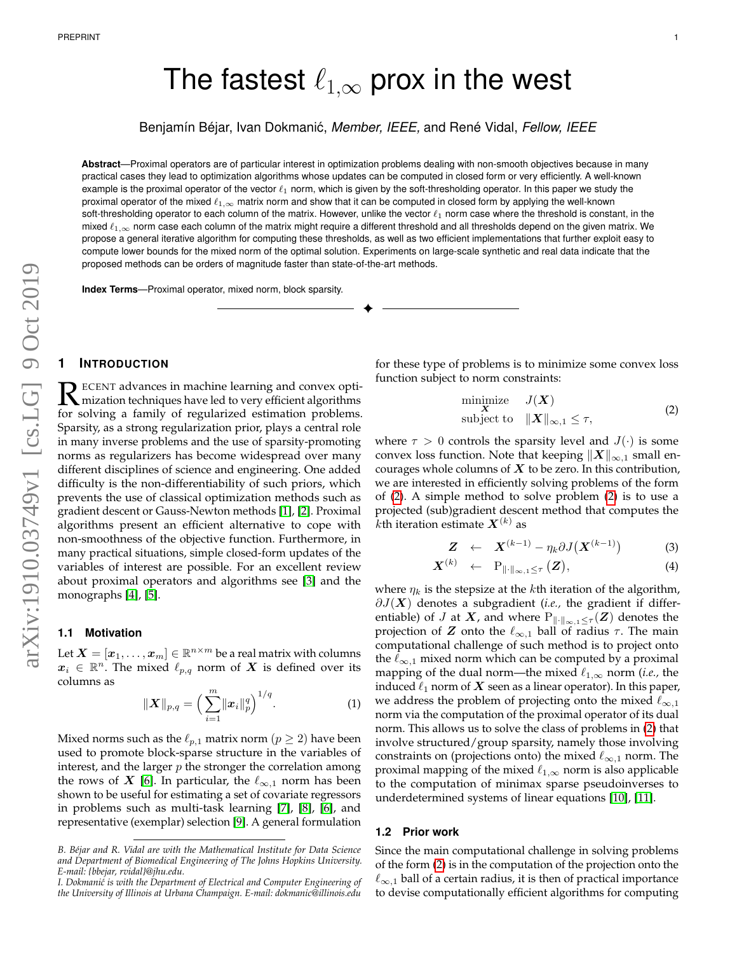# The fastest  $\ell_{1,\infty}$  prox in the west

Benjamín Béjar, Ivan Dokmanic,´ *Member, IEEE,* and René Vidal, *Fellow, IEEE*

**Abstract**—Proximal operators are of particular interest in optimization problems dealing with non-smooth objectives because in many practical cases they lead to optimization algorithms whose updates can be computed in closed form or very efficiently. A well-known example is the proximal operator of the vector  $\ell_1$  norm, which is given by the soft-thresholding operator. In this paper we study the proximal operator of the mixed  $\ell_{1,\infty}$  matrix norm and show that it can be computed in closed form by applying the well-known soft-thresholding operator to each column of the matrix. However, unlike the vector  $\ell_1$  norm case where the threshold is constant, in the mixed  $\ell_{1,\infty}$  norm case each column of the matrix might require a different threshold and all thresholds depend on the given matrix. We propose a general iterative algorithm for computing these thresholds, as well as two efficient implementations that further exploit easy to compute lower bounds for the mixed norm of the optimal solution. Experiments on large-scale synthetic and real data indicate that the proposed methods can be orders of magnitude faster than state-of-the-art methods.

✦

**Index Terms**—Proximal operator, mixed norm, block sparsity.

# **1 INTRODUCTION**

R ECENT advances in machine learning and convex opti-<br>
for solving a family of reqularized ostimation problems mization techniques have led to very efficient algorithms for solving a family of regularized estimation problems. Sparsity, as a strong regularization prior, plays a central role in many inverse problems and the use of sparsity-promoting norms as regularizers has become widespread over many different disciplines of science and engineering. One added difficulty is the non-differentiability of such priors, which prevents the use of classical optimization methods such as gradient descent or Gauss-Newton methods [\[1\]](#page-7-0), [\[2\]](#page-7-1). Proximal algorithms present an efficient alternative to cope with non-smoothness of the objective function. Furthermore, in many practical situations, simple closed-form updates of the variables of interest are possible. For an excellent review about proximal operators and algorithms see [\[3\]](#page-7-2) and the monographs [\[4\]](#page-7-3), [\[5\]](#page-7-4).

# **1.1 Motivation**

Let  $\boldsymbol{X} = [\boldsymbol{x}_1, \dots, \boldsymbol{x}_m] \in \mathbb{R}^{n \times m}$  be a real matrix with columns  $\boldsymbol{x}_i~\in~\mathbb{R}^n.$  The mixed  $\ell_{p,q}$  norm of  $\boldsymbol{X}$  is defined over its columns as

$$
\|\boldsymbol{X}\|_{p,q} = \Big(\sum_{i=1}^{m} \|\boldsymbol{x}_{i}\|_{p}^{q}\Big)^{1/q}.
$$
 (1)

Mixed norms such as the  $\ell_{p,1}$  matrix norm  $(p \ge 2)$  have been used to promote block-sparse structure in the variables of interest, and the larger  $p$  the stronger the correlation among the rows of X [\[6\]](#page-7-5). In particular, the  $\ell_{\infty,1}$  norm has been shown to be useful for estimating a set of covariate regressors in problems such as multi-task learning [\[7\]](#page-7-6), [\[8\]](#page-7-7), [\[6\]](#page-7-5), and representative (exemplar) selection [\[9\]](#page-7-8). A general formulation for these type of problems is to minimize some convex loss function subject to norm constraints:

<span id="page-0-0"></span>
$$
\begin{array}{ll}\text{minimize} & J(\mathbf{X})\\ \text{subject to} & \| \mathbf{X} \|_{\infty, 1} \le \tau, \end{array} \tag{2}
$$

where  $\tau > 0$  controls the sparsity level and  $J(\cdot)$  is some convex loss function. Note that keeping  $\|X\|_{\infty,1}$  small encourages whole columns of  $X$  to be zero. In this contribution, we are interested in efficiently solving problems of the form of [\(2\)](#page-0-0). A simple method to solve problem [\(2\)](#page-0-0) is to use a projected (sub)gradient descent method that computes the  $k$ th iteration estimate  $\boldsymbol{X}^{(k)}$  as

$$
\mathbf{Z} \quad \leftarrow \quad \mathbf{X}^{(k-1)} - \eta_k \partial J(\mathbf{X}^{(k-1)}) \tag{3}
$$

$$
\boldsymbol{X}^{(k)} \quad \leftarrow \quad \mathrm{P}_{\|\cdot\|_{\infty,1} \leq \tau} \left( \boldsymbol{Z} \right), \tag{4}
$$

where  $\eta_k$  is the stepsize at the *k*th iteration of the algorithm,  $\partial J(\mathbf{X})$  denotes a subgradient (*i.e.*, the gradient if differentiable) of *J* at *X*, and where  $P_{\|\cdot\|_{\infty,1}\leq \tau}(\mathbf{Z})$  denotes the projection of Z onto the  $\ell_{\infty,1}$  ball of radius  $\tau$ . The main computational challenge of such method is to project onto the  $\ell_{\infty,1}$  mixed norm which can be computed by a proximal mapping of the dual norm—the mixed  $\ell_{1,\infty}$  norm (*i.e.*, the induced  $\ell_1$  norm of  $X$  seen as a linear operator). In this paper, we address the problem of projecting onto the mixed  $\ell_{\infty,1}$ norm via the computation of the proximal operator of its dual norm. This allows us to solve the class of problems in [\(2\)](#page-0-0) that involve structured/group sparsity, namely those involving constraints on (projections onto) the mixed  $\ell_{\infty,1}$  norm. The proximal mapping of the mixed  $\ell_{1,\infty}$  norm is also applicable to the computation of minimax sparse pseudoinverses to underdetermined systems of linear equations [\[10\]](#page-7-9), [\[11\]](#page-7-10).

#### **1.2 Prior work**

Since the main computational challenge in solving problems of the form [\(2\)](#page-0-0) is in the computation of the projection onto the  $\ell_{\infty,1}$  ball of a certain radius, it is then of practical importance to devise computationally efficient algorithms for computing

*B. Béjar and R. Vidal are with the Mathematical Institute for Data Science and Department of Biomedical Engineering of The Johns Hopkins University. E-mail: {bbejar, rvidal}@jhu.edu.*

*I. Dokmani´c is with the Department of Electrical and Computer Engineering of the University of Illinois at Urbana Champaign. E-mail: dokmanic@illinois.edu*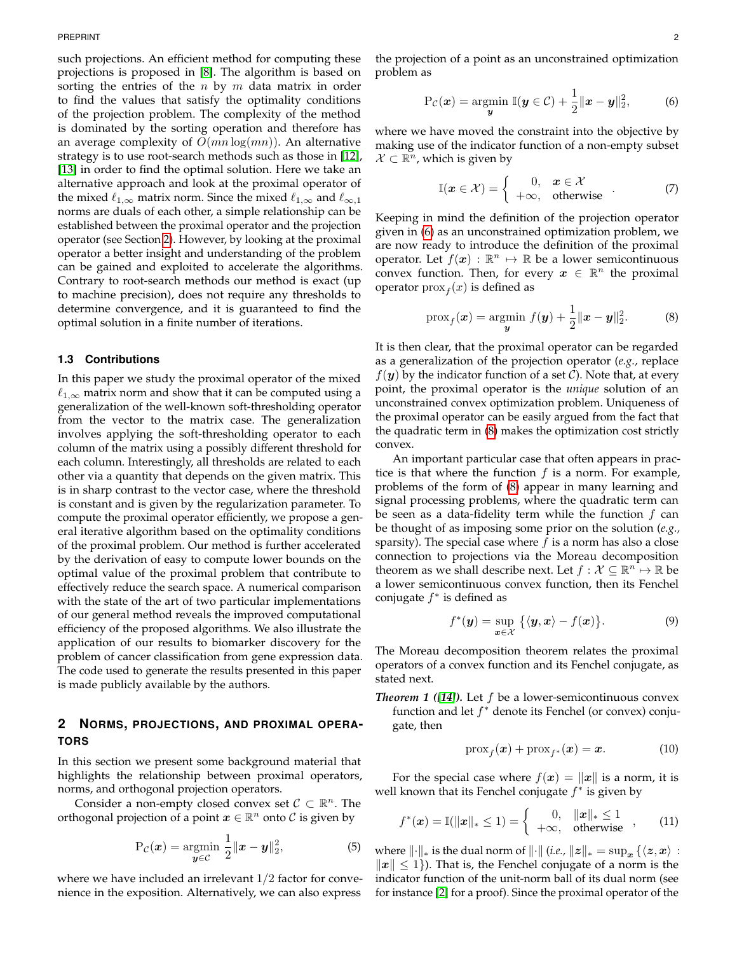such projections. An efficient method for computing these projections is proposed in [\[8\]](#page-7-7). The algorithm is based on sorting the entries of the  $n$  by  $m$  data matrix in order to find the values that satisfy the optimality conditions of the projection problem. The complexity of the method is dominated by the sorting operation and therefore has an average complexity of  $O(mn \log(mn))$ . An alternative strategy is to use root-search methods such as those in [\[12\]](#page-7-11), [\[13\]](#page-7-12) in order to find the optimal solution. Here we take an alternative approach and look at the proximal operator of the mixed  $\ell_{1,\infty}$  matrix norm. Since the mixed  $\ell_{1,\infty}$  and  $\ell_{\infty,1}$ norms are duals of each other, a simple relationship can be established between the proximal operator and the projection operator (see Section [2\)](#page-1-0). However, by looking at the proximal operator a better insight and understanding of the problem can be gained and exploited to accelerate the algorithms. Contrary to root-search methods our method is exact (up to machine precision), does not require any thresholds to determine convergence, and it is guaranteed to find the optimal solution in a finite number of iterations.

#### **1.3 Contributions**

In this paper we study the proximal operator of the mixed  $\ell_{1,\infty}$  matrix norm and show that it can be computed using a generalization of the well-known soft-thresholding operator from the vector to the matrix case. The generalization involves applying the soft-thresholding operator to each column of the matrix using a possibly different threshold for each column. Interestingly, all thresholds are related to each other via a quantity that depends on the given matrix. This is in sharp contrast to the vector case, where the threshold is constant and is given by the regularization parameter. To compute the proximal operator efficiently, we propose a general iterative algorithm based on the optimality conditions of the proximal problem. Our method is further accelerated by the derivation of easy to compute lower bounds on the optimal value of the proximal problem that contribute to effectively reduce the search space. A numerical comparison with the state of the art of two particular implementations of our general method reveals the improved computational efficiency of the proposed algorithms. We also illustrate the application of our results to biomarker discovery for the problem of cancer classification from gene expression data. The code used to generate the results presented in this paper is made publicly available by the authors.

# <span id="page-1-0"></span>**2 NORMS, PROJECTIONS, AND PROXIMAL OPERA-TORS**

In this section we present some background material that highlights the relationship between proximal operators, norms, and orthogonal projection operators.

Consider a non-empty closed convex set  $C \subset \mathbb{R}^n$ . The orthogonal projection of a point  $x \in \mathbb{R}^n$  onto  $\mathcal C$  is given by

$$
\mathbf{P}_{\mathcal{C}}(\boldsymbol{x}) = \underset{\boldsymbol{y} \in \mathcal{C}}{\operatorname{argmin}} \ \frac{1}{2} \|\boldsymbol{x} - \boldsymbol{y}\|_2^2, \tag{5}
$$

where we have included an irrelevant  $1/2$  factor for convenience in the exposition. Alternatively, we can also express

the projection of a point as an unconstrained optimization problem as

<span id="page-1-1"></span>
$$
\mathrm{P}_{\mathcal{C}}(\boldsymbol{x}) = \underset{\boldsymbol{y}}{\mathrm{argmin}} \; \mathbb{I}(\boldsymbol{y} \in \mathcal{C}) + \frac{1}{2} \|\boldsymbol{x} - \boldsymbol{y}\|_2^2, \tag{6}
$$

where we have moved the constraint into the objective by making use of the indicator function of a non-empty subset  $\mathcal{X} \subset \mathbb{R}^n$ , which is given by

$$
\mathbb{I}(\boldsymbol{x} \in \mathcal{X}) = \begin{cases} 0, & \boldsymbol{x} \in \mathcal{X} \\ +\infty, & \text{otherwise} \end{cases} \tag{7}
$$

Keeping in mind the definition of the projection operator given in [\(6\)](#page-1-1) as an unconstrained optimization problem, we are now ready to introduce the definition of the proximal operator. Let  $f(x) : \mathbb{R}^n \mapsto \mathbb{R}$  be a lower semicontinuous convex function. Then, for every  $x \in \mathbb{R}^n$  the proximal operator  $prox_f(x)$  is defined as

<span id="page-1-2"></span>
$$
\text{prox}_{f}(\bm{x}) = \underset{\bm{y}}{\text{argmin}} \ f(\bm{y}) + \frac{1}{2} \|\bm{x} - \bm{y}\|_{2}^{2}.
$$
 (8)

It is then clear, that the proximal operator can be regarded as a generalization of the projection operator (*e.g.,* replace  $f(\mathbf{y})$  by the indicator function of a set C). Note that, at every point, the proximal operator is the *unique* solution of an unconstrained convex optimization problem. Uniqueness of the proximal operator can be easily argued from the fact that the quadratic term in [\(8\)](#page-1-2) makes the optimization cost strictly convex.

An important particular case that often appears in practice is that where the function  $f$  is a norm. For example, problems of the form of [\(8\)](#page-1-2) appear in many learning and signal processing problems, where the quadratic term can be seen as a data-fidelity term while the function  $f$  can be thought of as imposing some prior on the solution (*e.g.,* sparsity). The special case where  $f$  is a norm has also a close connection to projections via the Moreau decomposition theorem as we shall describe next. Let  $f: \mathcal{X} \subseteq \mathbb{R}^n \mapsto \mathbb{R}$  be a lower semicontinuous convex function, then its Fenchel conjugate  $f^*$  is defined as

$$
f^*(\mathbf{y}) = \sup_{\mathbf{x} \in \mathcal{X}} \left\{ \langle \mathbf{y}, \mathbf{x} \rangle - f(\mathbf{x}) \right\}.
$$
 (9)

The Moreau decomposition theorem relates the proximal operators of a convex function and its Fenchel conjugate, as stated next.

*Theorem 1 ([\[14\]](#page-7-13)).* Let f be a lower-semicontinuous convex function and let  $f^*$  denote its Fenchel (or convex) conjugate, then

<span id="page-1-3"></span>
$$
\operatorname{prox}_{f}(\boldsymbol{x}) + \operatorname{prox}_{f^*}(\boldsymbol{x}) = \boldsymbol{x}.\tag{10}
$$

For the special case where  $f(x) = ||x||$  is a norm, it is well known that its Fenchel conjugate  $f^*$  is given by

$$
f^*(\bm{x}) = \mathbb{I}(\|\bm{x}\|_* \le 1) = \begin{cases} 0, & \|\bm{x}\|_* \le 1 \\ +\infty, & \text{otherwise} \end{cases}, \qquad (11)
$$

where  $\lVert \cdot \rVert_*$  is the dual norm of  $\lVert \cdot \rVert$  (*i.e.,*  $\lVert z \rVert_* = \sup_x {\{\langle z, x \rangle : \} }$  $||x|| \le 1$ ). That is, the Fenchel conjugate of a norm is the indicator function of the unit-norm ball of its dual norm (see for instance [\[2\]](#page-7-1) for a proof). Since the proximal operator of the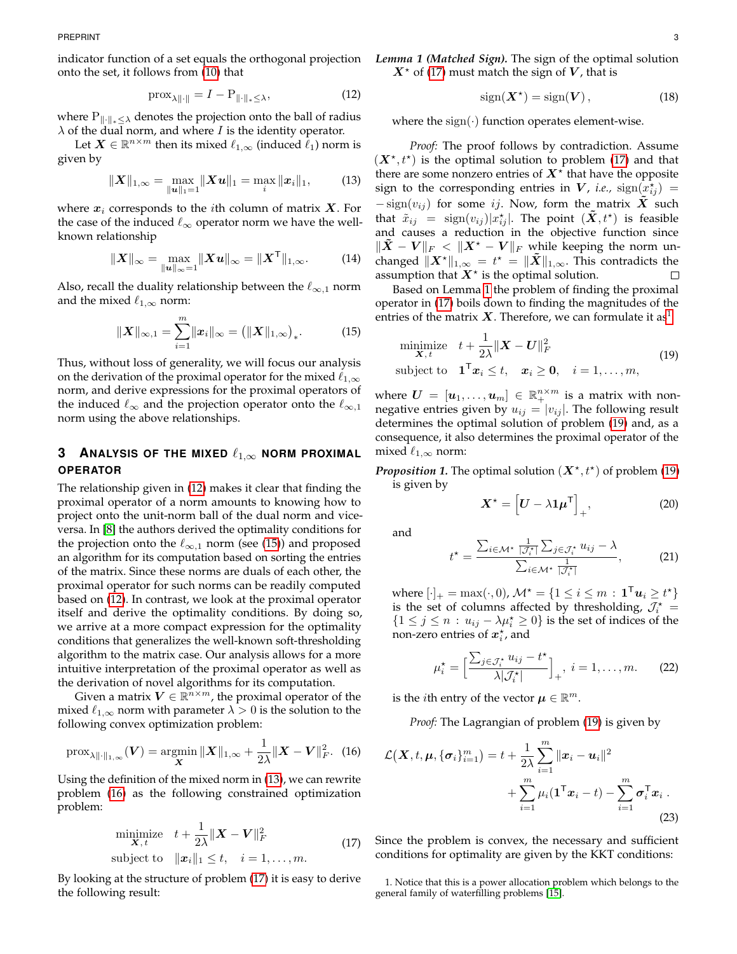indicator function of a set equals the orthogonal projection onto the set, it follows from [\(10\)](#page-1-3) that

<span id="page-2-0"></span>
$$
\text{prox}_{\lambda \|\cdot\|} = I - P_{\|\cdot\|_* \leq \lambda},\tag{12}
$$

where  $P_{\|\cdot\|_*<\lambda}$  denotes the projection onto the ball of radius  $\lambda$  of the dual norm, and where  $I$  is the identity operator.

Let  $\boldsymbol{X} \in \mathbb{R}^{n \times m}$  then its mixed  $\ell_{1,\infty}$  (induced  $\tilde{\ell}_1$ ) norm is given by

<span id="page-2-2"></span>
$$
\|\boldsymbol{X}\|_{1,\infty} = \max_{\|\boldsymbol{u}\|_{1}=1} \|\boldsymbol{X}\boldsymbol{u}\|_{1} = \max_{i} \|\boldsymbol{x}_{i}\|_{1}, \qquad (13)
$$

where  $x_i$  corresponds to the *i*th column of matrix  $X$ . For the case of the induced  $\ell_{\infty}$  operator norm we have the wellknown relationship

$$
||X||_{\infty} = \max_{||u||_{\infty}=1} ||Xu||_{\infty} = ||X^{\mathsf{T}}||_{1,\infty}.
$$
 (14)

Also, recall the duality relationship between the  $\ell_{\infty,1}$  norm and the mixed  $\ell_{1,\infty}$  norm:

<span id="page-2-1"></span>
$$
||\boldsymbol{X}||_{\infty,1} = \sum_{i=1}^{m} ||\boldsymbol{x}_{i}||_{\infty} = (||\boldsymbol{X}||_{1,\infty})_{*}.
$$
 (15)

Thus, without loss of generality, we will focus our analysis on the derivation of the proximal operator for the mixed  $\ell_{1,\infty}$ norm, and derive expressions for the proximal operators of the induced  $\ell_{\infty}$  and the projection operator onto the  $\ell_{\infty,1}$ norm using the above relationships.

# <span id="page-2-11"></span>**3** ANALYSIS OF THE MIXED  $\ell_{1,\infty}$  norm proximal **OPERATOR**

The relationship given in [\(12\)](#page-2-0) makes it clear that finding the proximal operator of a norm amounts to knowing how to project onto the unit-norm ball of the dual norm and viceversa. In [\[8\]](#page-7-7) the authors derived the optimality conditions for the projection onto the  $\ell_{\infty,1}$  norm (see [\(15\)](#page-2-1)) and proposed an algorithm for its computation based on sorting the entries of the matrix. Since these norms are duals of each other, the proximal operator for such norms can be readily computed based on [\(12\)](#page-2-0). In contrast, we look at the proximal operator itself and derive the optimality conditions. By doing so, we arrive at a more compact expression for the optimality conditions that generalizes the well-known soft-thresholding algorithm to the matrix case. Our analysis allows for a more intuitive interpretation of the proximal operator as well as the derivation of novel algorithms for its computation.

Given a matrix  $V \in \mathbb{R}^{n \times m}$ , the proximal operator of the mixed  $\ell_{1,\infty}$  norm with parameter  $\lambda > 0$  is the solution to the following convex optimization problem:

$$
\text{prox}_{\lambda \| \cdot \|_{1,\infty}}(\boldsymbol{V}) = \underset{\mathbf{X}}{\text{argmin}} \, \| \mathbf{X} \|_{1,\infty} + \frac{1}{2\lambda} \| \mathbf{X} - \mathbf{V} \|_{F}^{2}.
$$
 (16)

Using the definition of the mixed norm in [\(13\)](#page-2-2), we can rewrite problem [\(16\)](#page-2-3) as the following constrained optimization problem:

<span id="page-2-5"></span>
$$
\begin{array}{ll}\n\text{minimize} & t + \frac{1}{2\lambda} \| \mathbf{X} - \mathbf{V} \|_F^2 \\
\text{subject to} & \|\mathbf{x}_i\|_1 \le t, \quad i = 1, \dots, m.\n\end{array} \tag{17}
$$

By looking at the structure of problem [\(17\)](#page-2-4) it is easy to derive the following result:

*Lemma 1 (Matched Sign).* The sign of the optimal solution  $X^*$  of [\(17\)](#page-2-4) must match the sign of V, that is

$$
sign(\mathbf{X}^*) = sign(\mathbf{V}), \qquad (18)
$$

where the  $sign(\cdot)$  function operates element-wise.

*Proof:* The proof follows by contradiction. Assume  $(X^*, t^*)$  is the optimal solution to problem [\(17\)](#page-2-4) and that there are some nonzero entries of  $X^*$  that have the opposite sign to the corresponding entries in  $V$ *, i.e.,*  $\text{sign}(\vec{x_{ij}})$  =  $-\text{sign}(v_{ij})$  for some ij. Now, form the matrix X such that  $\tilde{x}_{ij}$  =  $\text{sign}(v_{ij}) | x_{ij}^\star |.$  The point  $(\tilde{\bm{X}}, t^\star)$  is feasible and causes a reduction in the objective function since  $\|\tilde{X} - V\|_F < \|X^* - V\|_F$  while keeping the norm unchanged  $\|\bm{X}^{\star}\|_{1,\infty}$  =  $t^{\star}$  =  $\|\tilde{\bm{X}}\|_{1,\infty}.$  This contradicts the assumption that  $X^*$  is the optimal solution.  $\Box$ 

Based on Lemma [1](#page-2-5) the problem of finding the proximal operator in [\(17\)](#page-2-4) boils down to finding the magnitudes of the entries of the matrix X. Therefore, we can formulate it as<sup>[1](#page-2-6)</sup>

$$
\begin{array}{ll}\n\text{minimize} & t + \frac{1}{2\lambda} \|\mathbf{X} - \mathbf{U}\|_F^2 \\
\text{subject to} & \mathbf{1}^\mathsf{T} \mathbf{x}_i \leq t, \quad \mathbf{x}_i \geq \mathbf{0}, \quad i = 1, \dots, m,\n\end{array} \tag{19}
$$

where  $\boldsymbol{U} \,=\, [\boldsymbol{u}_1, \dots, \boldsymbol{u}_m] \,\in\, \mathbb{R}_+^{n\times m}$  is a matrix with nonnegative entries given by  $u_{ij} = |v_{ij}|$ . The following result determines the optimal solution of problem [\(19\)](#page-2-7) and, as a consequence, it also determines the proximal operator of the mixed  $\ell_{1,\infty}$  norm:

<span id="page-2-10"></span>**Proposition 1.** The optimal solution  $(X^*, t^*)$  of problem [\(19\)](#page-2-7) is given by

<span id="page-2-8"></span><span id="page-2-7"></span>
$$
\boldsymbol{X}^{\star} = \left[ \boldsymbol{U} - \lambda \boldsymbol{1} \boldsymbol{\mu}^{\mathsf{T}} \right]_{+}, \tag{20}
$$

<span id="page-2-12"></span>and

$$
t^* = \frac{\sum_{i \in \mathcal{M}^*} \frac{1}{|\mathcal{J}_i^*|} \sum_{j \in \mathcal{J}_i^*} u_{ij} - \lambda}{\sum_{i \in \mathcal{M}^*} \frac{1}{|\mathcal{J}_i^*|}},
$$
(21)

where  $[\cdot]_+ = \max(\cdot, 0)$ ,  $\mathcal{M}^\star = \{1 \leq i \leq m \,:\, \mathbf{1}^\mathsf{T} \boldsymbol{u}_i \geq t^\star\}$ is the set of columns affected by thresholding,  $\mathcal{J}_i^*$  =  ${1 \leq j \leq n : u_{ij} - \lambda \mu_i^{\star} \geq 0}$  is the set of indices of the non-zero entries of  $x_i^*$ , and

<span id="page-2-9"></span>
$$
\mu_i^* = \Big[\frac{\sum_{j \in \mathcal{J}_i^*} u_{ij} - t^*}{\lambda |\mathcal{J}_i^*|}\Big]_+, \ i = 1, \dots, m. \qquad (22)
$$

is the *i*th entry of the vector  $\boldsymbol{\mu} \in \mathbb{R}^m$ .

*Proof:* The Lagrangian of problem [\(19\)](#page-2-7) is given by

<span id="page-2-3"></span>
$$
\mathcal{L}(\boldsymbol{X},t,\boldsymbol{\mu},\{\boldsymbol{\sigma}_i\}_{i=1}^m) = t + \frac{1}{2\lambda} \sum_{i=1}^m \|\boldsymbol{x}_i - \boldsymbol{u}_i\|^2
$$
  
+ 
$$
\sum_{i=1}^m \mu_i (\boldsymbol{1}^\top \boldsymbol{x}_i - t) - \sum_{i=1}^m \boldsymbol{\sigma}_i^\top \boldsymbol{x}_i .
$$
(23)

<span id="page-2-4"></span>Since the problem is convex, the necessary and sufficient conditions for optimality are given by the KKT conditions:

<span id="page-2-6"></span><sup>1.</sup> Notice that this is a power allocation problem which belongs to the general family of waterfilling problems [\[15\]](#page-7-14).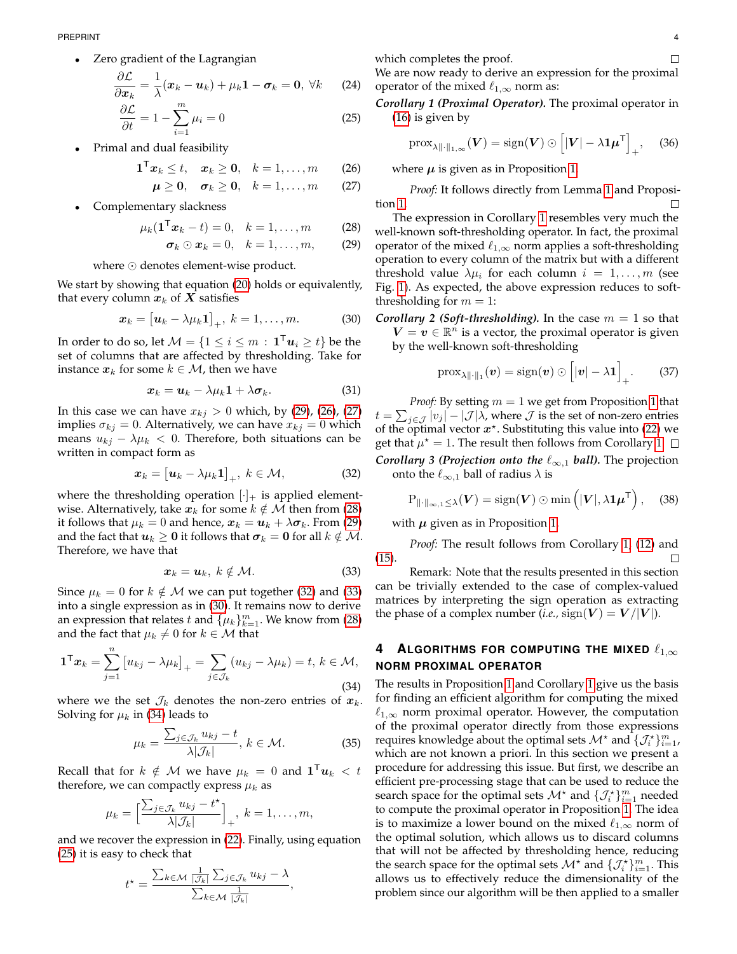Zero gradient of the Lagrangian

$$
\frac{\partial \mathcal{L}}{\partial \mathbf{x}_k} = \frac{1}{\lambda} (\mathbf{x}_k - \mathbf{u}_k) + \mu_k \mathbf{1} - \boldsymbol{\sigma}_k = \mathbf{0}, \ \forall k \qquad (24)
$$

$$
\frac{\partial \mathcal{L}}{\partial t} = 1 - \sum_{i=1}^{m} \mu_i = 0 \tag{25}
$$

• Primal and dual feasibility

$$
\mathbf{1}^{\mathsf{T}}\boldsymbol{x}_k \leq t, \quad \boldsymbol{x}_k \geq \mathbf{0}, \quad k = 1, \ldots, m \qquad (26)
$$

$$
\boldsymbol{\mu} \geq \mathbf{0}, \quad \boldsymbol{\sigma}_k \geq \mathbf{0}, \quad k = 1, \dots, m \qquad (27)
$$

Complementary slackness

$$
\mu_k(\mathbf{1}^{\mathsf{T}}\mathbf{x}_k - t) = 0, \quad k = 1, \dots, m \tag{28}
$$

<span id="page-3-6"></span>
$$
\boldsymbol{\sigma}_k \odot \boldsymbol{x}_k = 0, \quad k = 1, \ldots, m, \tag{29}
$$

where  $\odot$  denotes element-wise product.

We start by showing that equation [\(20\)](#page-2-8) holds or equivalently, that every column  $x_k$  of  $X$  satisfies

$$
\boldsymbol{x}_k = \begin{bmatrix} \boldsymbol{u}_k - \lambda \mu_k \mathbf{1} \end{bmatrix}_+, \ k = 1, \ldots, m. \tag{30}
$$

In order to do so, let  $\mathcal{M} = \{1 \leq i \leq m \, : \, \boldsymbol{1}^\mathsf{T} \boldsymbol{u}_i \geq t\}$  be the set of columns that are affected by thresholding. Take for instance  $x_k$  for some  $k \in \mathcal{M}$ , then we have

$$
x_k = u_k - \lambda \mu_k \mathbf{1} + \lambda \sigma_k. \tag{31}
$$

In this case we can have  $x_{kj} > 0$  which, by [\(29\)](#page-3-0), [\(26\)](#page-3-1), [\(27\)](#page-3-2) implies  $\sigma_{kj} = 0$ . Alternatively, we can have  $x_{ki} = 0$  which means  $u_{kj} - \lambda \mu_k < 0$ . Therefore, both situations can be written in compact form as

<span id="page-3-4"></span>
$$
\boldsymbol{x}_k = \begin{bmatrix} \boldsymbol{u}_k - \lambda \mu_k \mathbf{1} \end{bmatrix}_+, \ k \in \mathcal{M}, \tag{32}
$$

where the thresholding operation  $[\cdot]_+$  is applied elementwise. Alternatively, take  $x_k$  for some  $k \notin \mathcal{M}$  then from [\(28\)](#page-3-3) it follows that  $\mu_k = 0$  and hence,  $\boldsymbol{x}_k = \boldsymbol{u}_k + \lambda \boldsymbol{\sigma}_k$ . From [\(29\)](#page-3-0) and the fact that  $u_k \geq 0$  it follows that  $\sigma_k = 0$  for all  $k \notin \mathcal{M}$ . Therefore, we have that

<span id="page-3-5"></span>
$$
x_k = u_k, \ k \notin \mathcal{M}.
$$
 (33)

Since  $\mu_k = 0$  for  $k \notin \mathcal{M}$  we can put together [\(32\)](#page-3-4) and [\(33\)](#page-3-5) into a single expression as in [\(30\)](#page-3-6). It remains now to derive an expression that relates  $t$  and  $\{\mu_k\}_{k=1}^m$ . We know from [\(28\)](#page-3-3) and the fact that  $\mu_k \neq 0$  for  $k \in \mathcal{M}$  that

$$
\mathbf{1}^{\mathsf{T}}\boldsymbol{x}_k = \sum_{j=1}^n \left[ u_{kj} - \lambda \mu_k \right]_+ = \sum_{j \in \mathcal{J}_k} (u_{kj} - \lambda \mu_k) = t, \ k \in \mathcal{M}, \tag{34}
$$

where we the set  $\mathcal{J}_k$  denotes the non-zero entries of  $x_k$ . Solving for  $\mu_k$  in [\(34\)](#page-3-7) leads to

$$
\mu_k = \frac{\sum_{j \in \mathcal{J}_k} u_{kj} - t}{\lambda |\mathcal{J}_k|}, \, k \in \mathcal{M}.
$$

Recall that for  $k \notin \mathcal{M}$  we have  $\mu_k \,=\, 0$  and  $\mathbf{1}^\mathsf{T} \boldsymbol{u}_k \, < \, t$ therefore, we can compactly express  $\mu_k$  as

$$
\mu_k = \Big[\frac{\sum_{j \in \mathcal{J}_k} u_{kj} - t^{\star}}{\lambda |\mathcal{J}_k|}\Big]_+, \ k = 1, \ldots, m,
$$

and we recover the expression in [\(22\)](#page-2-9). Finally, using equation [\(25\)](#page-3-8) it is easy to check that

$$
t^* = \frac{\sum_{k \in \mathcal{M}} \frac{1}{|\mathcal{J}_k|} \sum_{j \in \mathcal{J}_k} u_{kj} - \lambda}{\sum_{k \in \mathcal{M}} \frac{1}{|\mathcal{J}_k|}},
$$

which completes the proof.

We are now ready to derive an expression for the proximal operator of the mixed  $\ell_{1,\infty}$  norm as:

<span id="page-3-8"></span>*Corollary 1 (Proximal Operator).* The proximal operator in [\(16\)](#page-2-3) is given by

<span id="page-3-9"></span>
$$
\mathrm{prox}_{\lambda \|\cdot\|_{1,\infty}}(\boldsymbol{V}) = \mathrm{sign}(\boldsymbol{V}) \odot \left[|\boldsymbol{V}| - \lambda \mathbf{1} \boldsymbol{\mu}^{\mathsf{T}}\right]_{+}, \quad (36)
$$

where  $\mu$  is given as in Proposition [1.](#page-2-10)

<span id="page-3-2"></span><span id="page-3-1"></span>*Proof:* It follows directly from Lemma [1](#page-2-5) and Proposition [1.](#page-2-10) П

<span id="page-3-3"></span><span id="page-3-0"></span>The expression in Corollary [1](#page-3-9) resembles very much the well-known soft-thresholding operator. In fact, the proximal operator of the mixed  $\ell_{1,\infty}$  norm applies a soft-thresholding operation to every column of the matrix but with a different threshold value  $\lambda \mu_i$  for each column  $i = 1, \ldots, m$  (see Fig. [1\)](#page-4-0). As expected, the above expression reduces to softthresholding for  $m = 1$ :

*Corollary 2 (Soft-thresholding).* In the case  $m = 1$  so that  $\bm{V}=\bm{v}\in\mathbb{R}^n$  is a vector, the proximal operator is given by the well-known soft-thresholding

$$
\mathrm{prox}_{\lambda \|\cdot\|_1}(\boldsymbol{v}) = \mathrm{sign}(\boldsymbol{v}) \odot [|\boldsymbol{v}| - \lambda \mathbf{1}]_+.
$$
 (37)

*Proof:* By setting  $m = 1$  $m = 1$  we get from Proposition 1 that  $t = \sum_{j \in \mathcal{J}} |v_j| - |\mathcal{J}| \lambda$ , where  $\mathcal J$  is the set of non-zero entries of the optimal vector  $x^*$ . Substituting this value into [\(22\)](#page-2-9) we get that  $\mu^* = 1$ . The result then follows from Corollary [1.](#page-3-9) *Corollary 3 (Projection onto the*  $\ell_{\infty,1}$  *ball).* The projection onto the  $\ell_{\infty,1}$  ball of radius  $\lambda$  is

$$
\mathrm{P}_{\|\cdot\|_{\infty,1}\leq\lambda}(\boldsymbol{V})=\mathrm{sign}(\boldsymbol{V})\odot\min\left(|\boldsymbol{V}|,\lambda\mathbf{1}\boldsymbol{\mu}^{\mathsf{T}}\right),\quad(38)
$$

with  $\mu$  given as in Proposition [1.](#page-2-10)

*Proof:* The result follows from Corollary [1,](#page-3-9) [\(12\)](#page-2-0) and [\(15\)](#page-2-1).

Remark: Note that the results presented in this section can be trivially extended to the case of complex-valued matrices by interpreting the sign operation as extracting the phase of a complex number (*i.e.*,  $sign(V) = V/|V|$ ).

# <span id="page-3-7"></span>**4 ALGORITHMS FOR COMPUTING THE MIXED**  $\ell_{1,\infty}$ **NORM PROXIMAL OPERATOR**

The results in Proposition [1](#page-2-10) and Corollary [1](#page-3-9) give us the basis for finding an efficient algorithm for computing the mixed  $\ell_{1,\infty}$  norm proximal operator. However, the computation of the proximal operator directly from those expressions requires knowledge about the optimal sets  $\mathcal{M}^{\star}$  and  $\{\mathcal{J}_{i}^{\star}\}_{i=1}^{m}$ , which are not known a priori. In this section we present a procedure for addressing this issue. But first, we describe an efficient pre-processing stage that can be used to reduce the search space for the optimal sets  $\mathcal{M}^\star$  and  $\{\mathcal{J}_i^\star\}_{i=1}^m$  needed to compute the proximal operator in Proposition [1.](#page-2-10) The idea is to maximize a lower bound on the mixed  $\ell_{1,\infty}$  norm of the optimal solution, which allows us to discard columns that will not be affected by thresholding hence, reducing the search space for the optimal sets  $\mathcal{M}^*$  and  $\{\mathcal{J}_i^*\}_{i=1}^m$ . This allows us to effectively reduce the dimensionality of the problem since our algorithm will be then applied to a smaller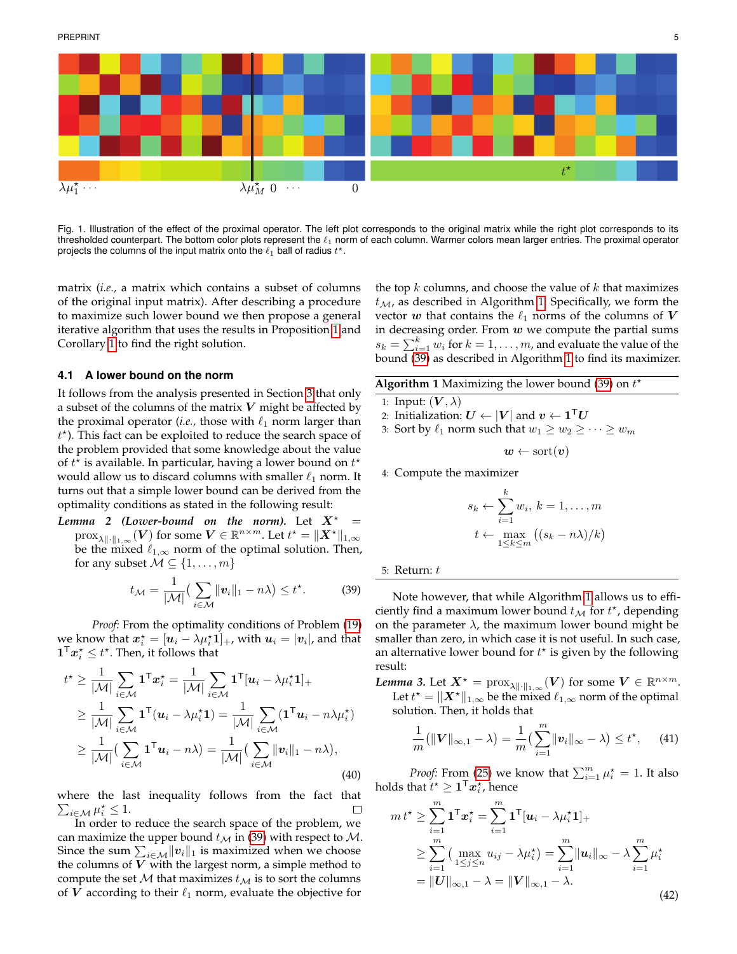

Fig. 1. Illustration of the effect of the proximal operator. The left plot corresponds to the original matrix while the right plot corresponds to its thresholded counterpart. The bottom color plots represent the  $\ell_1$  norm of each column. Warmer colors mean larger entries. The proximal operator projects the columns of the input matrix onto the  $\ell_1$  ball of radius  $t^\star.$ 

matrix (*i.e.,* a matrix which contains a subset of columns of the original input matrix). After describing a procedure to maximize such lower bound we then propose a general iterative algorithm that uses the results in Proposition [1](#page-2-10) and Corollary [1](#page-3-9) to find the right solution.

#### **4.1 A lower bound on the norm**

It follows from the analysis presented in Section [3](#page-2-11) that only a subset of the columns of the matrix  $V$  might be affected by the proximal operator (*i.e.*, those with  $\ell_1$  norm larger than  $t^*$ ). This fact can be exploited to reduce the search space of the problem provided that some knowledge about the value of  $t^{\star}$  is available. In particular, having a lower bound on  $t^{\star}$ would allow us to discard columns with smaller  $\ell_1$  norm. It turns out that a simple lower bound can be derived from the optimality conditions as stated in the following result:

*Lemma* 2 (*Lower-bound on the norm*). Let  $X^*$  $\mathrm{prox}_{\lambda\|\cdot\|_{1,\infty}}(\boldsymbol{V})$  for some  $\boldsymbol{V}\in\mathbb{R}^{n\times m}.$  Let  $t^{\star}=\|\boldsymbol{X}^{\star}\|_{1,\infty}$ be the mixed  $\ell_{1,\infty}$  norm of the optimal solution. Then, for any subset  $M \subseteq \{1, \ldots, m\}$ 

<span id="page-4-1"></span>
$$
t_{\mathcal{M}} = \frac{1}{|\mathcal{M}|} \left( \sum_{i \in \mathcal{M}} ||\boldsymbol{v}_i||_1 - n\lambda \right) \le t^*.
$$
 (39)

*Proof:* From the optimality conditions of Problem [\(19\)](#page-2-7) we know that  $x_i^* = [u_i - \lambda \mu_i^* \mathbf{1}]_+$ , with  $u_i = |v_i|$ , and that  $\boldsymbol{1}^\mathsf{T} \boldsymbol{x}_i^\star \leq t^\star.$  Then, it follows that

$$
t^* \geq \frac{1}{|\mathcal{M}|} \sum_{i \in \mathcal{M}} \mathbf{1}^\mathsf{T} \mathbf{x}_i^* = \frac{1}{|\mathcal{M}|} \sum_{i \in \mathcal{M}} \mathbf{1}^\mathsf{T} [u_i - \lambda \mu_i^* \mathbf{1}]_+ \geq \frac{1}{|\mathcal{M}|} \sum_{i \in \mathcal{M}} \mathbf{1}^\mathsf{T} (u_i - \lambda \mu_i^* \mathbf{1}) = \frac{1}{|\mathcal{M}|} \sum_{i \in \mathcal{M}} (\mathbf{1}^\mathsf{T} u_i - n \lambda \mu_i^*) \geq \frac{1}{|\mathcal{M}|} (\sum_{i \in \mathcal{M}} \mathbf{1}^\mathsf{T} u_i - n \lambda) = \frac{1}{|\mathcal{M}|} (\sum_{i \in \mathcal{M}} ||v_i||_1 - n \lambda),
$$
\n(40)

where the last inequality follows from the fact that  $\sum_{i\in\mathcal{M}}\mu_i^{\star}\leq 1.$ 

In order to reduce the search space of the problem, we can maximize the upper bound  $t_M$  in [\(39\)](#page-4-1) with respect to  $M$ . Since the sum  $\sum_{i\in\mathcal{M}}\lVert\bm{v}_i\rVert_1$  is maximized when we choose the columns of  $V$  with the largest norm, a simple method to compute the set  $M$  that maximizes  $t_M$  is to sort the columns of V according to their  $\ell_1$  norm, evaluate the objective for

<span id="page-4-0"></span>the top  $k$  columns, and choose the value of  $k$  that maximizes  $t_M$ , as described in Algorithm [1.](#page-4-2) Specifically, we form the vector  $\boldsymbol{w}$  that contains the  $\ell_1$  norms of the columns of  $\boldsymbol{V}$ in decreasing order. From  $w$  we compute the partial sums  $s_k = \sum_{i=1}^k w_i$  for  $k = 1, \ldots, m$ , and evaluate the value of the bound [\(39\)](#page-4-1) as described in Algorithm [1](#page-4-2) to find its maximizer.

|  |  | <b>Algorithm 1</b> Maximizing the lower bound (39) on $t^*$ |  |  |  |  |  |
|--|--|-------------------------------------------------------------|--|--|--|--|--|
|--|--|-------------------------------------------------------------|--|--|--|--|--|

- <span id="page-4-2"></span>1: Input:  $(V, \lambda)$
- 2: Initialization:  $\boldsymbol{U} \leftarrow |\boldsymbol{V}|$  and  $\boldsymbol{v} \leftarrow \boldsymbol{1}^\mathsf{T} \boldsymbol{U}$

3: Sort by 
$$
\ell_1
$$
 norm such that  $w_1 \geq w_2 \geq \cdots \geq w_m$ 

$$
\bm{w} \gets \text{sort}(\bm{v})
$$

4: Compute the maximizer

$$
s_k \leftarrow \sum_{i=1}^k w_i, \, k = 1, \dots, m
$$

$$
t \leftarrow \max_{1 \le k \le m} \left( (s_k - n\lambda)/k \right)
$$

5: Return: t

Note however, that while Algorithm [1](#page-4-2) allows us to efficiently find a maximum lower bound  $t_{\mathcal{M}}$  for  $t^*$ , depending on the parameter  $\lambda$ , the maximum lower bound might be smaller than zero, in which case it is not useful. In such case, an alternative lower bound for  $t^*$  is given by the following result:

*Lemma 3.* Let  $X^* = \text{prox}_{\lambda \| \cdot \|_{1,\infty}}(V)$  for some  $V \in \mathbb{R}^{n \times m}$ . Let  $t^* = ||X^*||_{1,\infty}$  be the mixed  $\ell_{1,\infty}$  norm of the optimal solution. Then, it holds that

<span id="page-4-3"></span>
$$
\frac{1}{m}(\|\mathbf{V}\|_{\infty,1}-\lambda)=\frac{1}{m}\left(\sum_{i=1}^{m}\|\mathbf{v}_{i}\|_{\infty}-\lambda\right)\leq t^{\star},\qquad(41)
$$

*Proof:* From [\(25\)](#page-3-8) we know that  $\sum_{i=1}^{m} \mu_i^* = 1$ . It also holds that  $t^\star \geq \mathbf{1}^\mathsf{T} \boldsymbol{x}_i^\star$ , hence

$$
m t^* \geq \sum_{i=1}^m \mathbf{1}^\mathsf{T} \mathbf{x}_i^* = \sum_{i=1}^m \mathbf{1}^\mathsf{T} [\mathbf{u}_i - \lambda \mu_i^* \mathbf{1}]_+ \geq \sum_{i=1}^m \left( \max_{1 \leq j \leq n} u_{ij} - \lambda \mu_i^* \right) = \sum_{i=1}^m \|\mathbf{u}_i\|_\infty - \lambda \sum_{i=1}^m \mu_i^* = \|\mathbf{U}\|_{\infty, 1} - \lambda = \|\mathbf{V}\|_{\infty, 1} - \lambda.
$$
\n(42)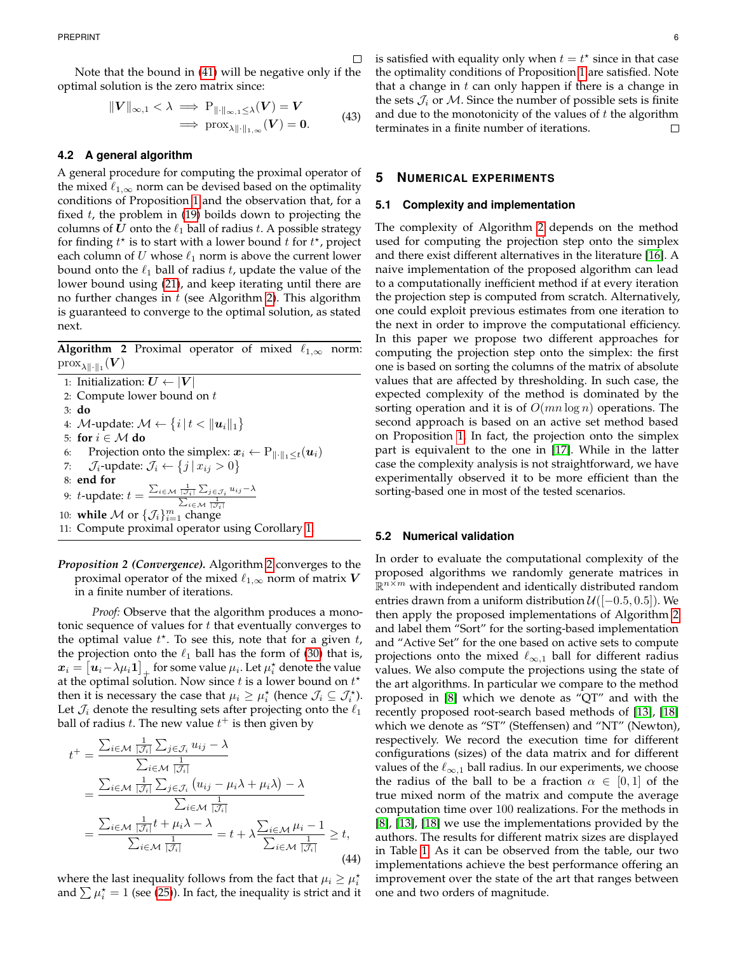Note that the bound in [\(41\)](#page-4-3) will be negative only if the optimal solution is the zero matrix since:

$$
||V||_{\infty,1} < \lambda \implies P_{||\cdot||_{\infty,1} \leq \lambda}(V) = V
$$
  

$$
\implies \text{prox}_{\lambda||\cdot||_{1,\infty}}(V) = 0.
$$
 (43)

#### **4.2 A general algorithm**

A general procedure for computing the proximal operator of the mixed  $\ell_{1,\infty}$  norm can be devised based on the optimality conditions of Proposition [1](#page-2-10) and the observation that, for a fixed  $t$ , the problem in [\(19\)](#page-2-7) boilds down to projecting the columns of U onto the  $\ell_1$  ball of radius t. A possible strategy for finding  $t^*$  is to start with a lower bound  $t$  for  $t^*$ , project each column of U whose  $\ell_1$  norm is above the current lower bound onto the  $\ell_1$  ball of radius t, update the value of the lower bound using [\(21\)](#page-2-12), and keep iterating until there are no further changes in  $t$  (see Algorithm [2\)](#page-5-0). This algorithm is guaranteed to converge to the optimal solution, as stated next.

**Algorithm 2** Proximal operator of mixed  $\ell_{1,\infty}$  norm:  $\mathrm{prox}_{\lambda\|\cdot\|_1}(\boldsymbol{V})$ 

<span id="page-5-0"></span>1: Initialization:  $U \leftarrow |V|$ 2: Compute lower bound on  $t$ 3: **do** 4:  $\mathcal{M}\text{-update: } \mathcal{M} \leftarrow \{i \,|\, t < \| \boldsymbol{u}_i \|_1 \}$ 5: **for** i ∈ M **do** 6: Projection onto the simplex:  $x_i \leftarrow P_{\|\cdot\|_1 \leq t}(\boldsymbol{u}_i)$ 7:  $\mathcal{J}_i$ -update:  $\mathcal{J}_i \leftarrow \{j \mid x_{ij} > 0\}$ 8: **end for** 9: t-update:  $t = \frac{\sum_{i \in \mathcal{M}} \frac{1}{|\mathcal{J}_i|} \sum_{j \in \mathcal{J}_i} u_{ij} - \lambda}{\sum_{i=1}^{\infty} \frac{1}{|\mathcal{J}_i|}}$ 9. *t*-update.  $t = \frac{\sum_{i \in \mathcal{M}} \frac{1}{|\mathcal{J}_i|}}{\sum_{i=1}^{m} \text{change}}$ 11: Compute proximal operator using Corollary [1.](#page-3-9)

*Proposition 2 (Convergence).* Algorithm [2](#page-5-0) converges to the proximal operator of the mixed  $\ell_{1,\infty}$  norm of matrix  $V$ in a finite number of iterations.

*Proof:* Observe that the algorithm produces a monotonic sequence of values for t that eventually converges to the optimal value  $t^*$ . To see this, note that for a given  $t$ , the projection onto the  $\ell_1$  ball has the form of [\(30\)](#page-3-6) that is,  $\bm{x}_i = \begin{bmatrix} \bm{u}_i \!-\! \lambda \mu_i \bm{1} \end{bmatrix}_\pm$  for some value  $\mu_i$ . Let  $\mu_i^\star$  denote the value at the optimal solution. Now since t is a lower bound on  $t^*$ then it is necessary the case that  $\mu_i \geq \mu_i^*$  (hence  $\mathcal{J}_i \subseteq \mathcal{J}_i^*$ ). Let  $\mathcal{J}_i$  denote the resulting sets after projecting onto the  $\ell_1$ ball of radius  $t$ . The new value  $t^+$  is then given by

$$
t^{+} = \frac{\sum_{i \in \mathcal{M}} \frac{1}{|\mathcal{J}_{i}|} \sum_{j \in \mathcal{J}_{i}} u_{ij} - \lambda}{\sum_{i \in \mathcal{M}} \frac{1}{|\mathcal{J}_{i}|}} = \frac{\sum_{i \in \mathcal{M}} \frac{1}{|\mathcal{J}_{i}|} \sum_{j \in \mathcal{J}_{i}} (u_{ij} - \mu_{i} \lambda + \mu_{i} \lambda) - \lambda}{\sum_{i \in \mathcal{M}} \frac{1}{|\mathcal{J}_{i}|}} = \frac{\sum_{i \in \mathcal{M}} \frac{1}{|\mathcal{J}_{i}|} t + \mu_{i} \lambda - \lambda}{\sum_{i \in \mathcal{M}} \frac{1}{|\mathcal{J}_{i}|}} = t + \lambda \frac{\sum_{i \in \mathcal{M}} \mu_{i} - 1}{\sum_{i \in \mathcal{M}} \frac{1}{|\mathcal{J}_{i}|}} \geq t,
$$
\n(44)

where the last inequality follows from the fact that  $\mu_i \geq \mu_i^*$ and  $\sum \mu_i^{\star} = 1$  (see [\(25\)](#page-3-8)). In fact, the inequality is strict and it

is satisfied with equality only when  $t = t^*$  since in that case the optimality conditions of Proposition [1](#page-2-10) are satisfied. Note that a change in  $t$  can only happen if there is a change in the sets  $\mathcal{J}_i$  or M. Since the number of possible sets is finite and due to the monotonicity of the values of  $t$  the algorithm terminates in a finite number of iterations. □

# **5 NUMERICAL EXPERIMENTS**

 $\Box$ 

#### **5.1 Complexity and implementation**

The complexity of Algorithm [2](#page-5-0) depends on the method used for computing the projection step onto the simplex and there exist different alternatives in the literature [\[16\]](#page-7-15). A naive implementation of the proposed algorithm can lead to a computationally inefficient method if at every iteration the projection step is computed from scratch. Alternatively, one could exploit previous estimates from one iteration to the next in order to improve the computational efficiency. In this paper we propose two different approaches for computing the projection step onto the simplex: the first one is based on sorting the columns of the matrix of absolute values that are affected by thresholding. In such case, the expected complexity of the method is dominated by the sorting operation and it is of  $O(mn \log n)$  operations. The second approach is based on an active set method based on Proposition [1.](#page-2-10) In fact, the projection onto the simplex part is equivalent to the one in [\[17\]](#page-7-16). While in the latter case the complexity analysis is not straightforward, we have experimentally observed it to be more efficient than the sorting-based one in most of the tested scenarios.

#### **5.2 Numerical validation**

In order to evaluate the computational complexity of the proposed algorithms we randomly generate matrices in  $\mathbb{R}^{n \times m}$  with independent and identically distributed random entries drawn from a uniform distribution  $\mathcal{U}([-0.5, 0.5])$ . We then apply the proposed implementations of Algorithm [2](#page-5-0) and label them "Sort" for the sorting-based implementation and "Active Set" for the one based on active sets to compute projections onto the mixed  $\ell_{\infty,1}$  ball for different radius values. We also compute the projections using the state of the art algorithms. In particular we compare to the method proposed in [\[8\]](#page-7-7) which we denote as "QT" and with the recently proposed root-search based methods of [\[13\]](#page-7-12), [\[18\]](#page-7-17) which we denote as "ST" (Steffensen) and "NT" (Newton), respectively. We record the execution time for different configurations (sizes) of the data matrix and for different values of the  $\ell_{\infty,1}$  ball radius. In our experiments, we choose the radius of the ball to be a fraction  $\alpha \in [0,1]$  of the true mixed norm of the matrix and compute the average computation time over 100 realizations. For the methods in [\[8\]](#page-7-7), [\[13\]](#page-7-12), [\[18\]](#page-7-17) we use the implementations provided by the authors. The results for different matrix sizes are displayed in Table [1.](#page-6-0) As it can be observed from the table, our two implementations achieve the best performance offering an improvement over the state of the art that ranges between one and two orders of magnitude.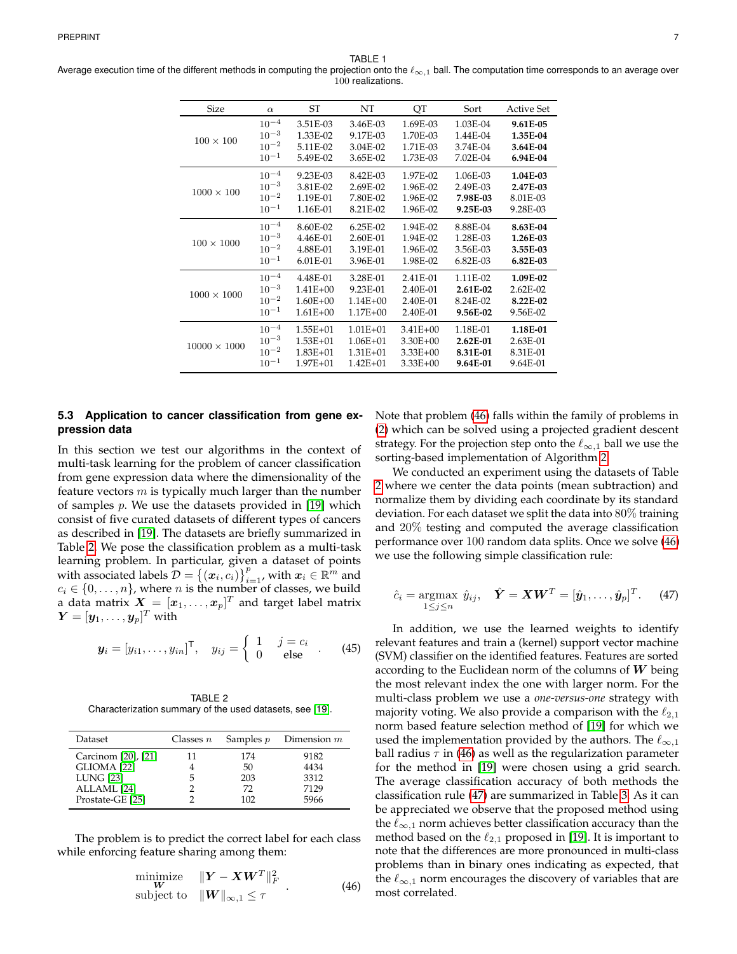TABLE 1

<span id="page-6-0"></span>Average execution time of the different methods in computing the projection onto the  $\ell_{\infty,1}$  ball. The computation time corresponds to an average over 100 realizations.

| <b>Size</b>         | $\alpha$  | ST           | NT           | QT           | Sort       | <b>Active Set</b> |
|---------------------|-----------|--------------|--------------|--------------|------------|-------------------|
| $100 \times 100$    | $10^{-4}$ | 3.51E-03     | 3.46E-03     | 1.69E-03     | 1.03E-04   | 9.61E-05          |
|                     | $10^{-3}$ | 1.33E-02     | 9.17E-03     | 1.70E-03     | 1.44E-04   | 1.35E-04          |
|                     | $10^{-2}$ | 5.11E-02     | 3.04E-02     | 1.71E-03     | 3.74E-04   | 3.64E-04          |
|                     | $10^{-1}$ | 5.49E-02     | 3.65E-02     | 1.73E-03     | 7.02E-04   | 6.94E-04          |
| $1000 \times 100$   | $10^{-4}$ | 9.23E-03     | 8.42E-03     | 1.97E-02     | 1.06E-03   | 1.04E-03          |
|                     | $10^{-3}$ | 3.81E-02     | 2.69E-02     | 1.96E-02     | 2.49E-03   | 2.47E-03          |
|                     | $10^{-2}$ | 1.19E-01     | 7.80E-02     | 1.96E-02     | 7.98E-03   | 8.01E-03          |
|                     | $10^{-1}$ | 1.16E-01     | 8.21E-02     | 1.96E-02     | 9.25E-03   | 9.28E-03          |
| $100 \times 1000$   | $10^{-4}$ | 8.60E-02     | $6.25E-02$   | 1.94E-02     | 8.88E-04   | 8.63E-04          |
|                     | $10^{-3}$ | 4.46E-01     | 2.60E-01     | $1.94E - 02$ | 1.28E-03   | 1.26E-03          |
|                     | $10^{-2}$ | 4.88E-01     | 3.19E-01     | 1.96E-02     | 3.56E-03   | 3.55E-03          |
|                     | $10^{-1}$ | 6.01E-01     | 3.96E-01     | 1.98E-02     | $6.82E-03$ | $6.82E-03$        |
| $1000 \times 1000$  | $10^{-4}$ | 4.48E-01     | 3.28E-01     | 2.41E-01     | 1.11E-02   | 1.09E-02          |
|                     | $10^{-3}$ | $1.41E + 00$ | 9.23E-01     | 2.40E-01     | 2.61E-02   | $2.62E-02$        |
|                     | $10^{-2}$ | $1.60E + 00$ | $1.14E + 00$ | 2.40E-01     | 8.24E-02   | 8.22E-02          |
|                     | $10^{-1}$ | $1.61E + 00$ | $1.17E + 00$ | 2.40E-01     | 9.56E-02   | 9.56E-02          |
| $10000 \times 1000$ | $10^{-4}$ | $1.55E+01$   | $1.01E + 01$ | $3.41E + 00$ | 1.18E-01   | 1.18E-01          |
|                     | $10^{-3}$ | $1.53E + 01$ | $1.06E + 01$ | $3.30E + 00$ | $2.62E-01$ | 2.63E-01          |
|                     | $10^{-2}$ | $1.83E + 01$ | $1.31E + 01$ | $3.33E + 00$ | 8.31E-01   | 8.31E-01          |
|                     | $10^{-1}$ | $1.97E + 01$ | $1.42E + 01$ | $3.33E + 00$ | 9.64E-01   | 9.64E-01          |

# **5.3 Application to cancer classification from gene expression data**

In this section we test our algorithms in the context of multi-task learning for the problem of cancer classification from gene expression data where the dimensionality of the feature vectors  $m$  is typically much larger than the number of samples  $p$ . We use the datasets provided in [\[19\]](#page-7-18) which consist of five curated datasets of different types of cancers as described in [\[19\]](#page-7-18). The datasets are briefly summarized in Table [2.](#page-6-1) We pose the classification problem as a multi-task learning problem. In particular, given a dataset of points with associated labels  $\mathcal{D} = \{(\boldsymbol{x}_i, c_i)\}_{i=1}^p$ , with  $\boldsymbol{x}_i \in \mathbb{R}^m$  and  $c_i \in \{0, \ldots, n\}$ , where *n* is the number of classes, we build a data matrix  $\boldsymbol{X}=[\boldsymbol{x}_1,\ldots,\boldsymbol{x}_p]^T$  and target label matrix  $\boldsymbol{Y} = [\boldsymbol{y}_1, \dots, \boldsymbol{y}_p]^T$  with

$$
\boldsymbol{y}_i = [y_{i1}, \dots, y_{in}]^\mathsf{T}, \quad y_{ij} = \left\{ \begin{array}{ll} 1 & j = c_i \\ 0 & \text{else} \end{array} \right. . \tag{45}
$$

<span id="page-6-1"></span>TABLE 2 Characterization summary of the used datasets, see [\[19\]](#page-7-18).

| Dataset             | Classes $n$ | Samples $p$ | Dimension $m$ |  |
|---------------------|-------------|-------------|---------------|--|
| Carcinom [20], [21] | 11          | 174         | 9182          |  |
| GLIOMA [22]         |             | 50          | 4434          |  |
| <b>LUNG</b> [23]    | 5           | 203         | 3312          |  |
| ALLAML [24]         |             | 72          | 7129          |  |
| Prostate-GE [25]    |             | 102         | 5966          |  |
|                     |             |             |               |  |

The problem is to predict the correct label for each class while enforcing feature sharing among them:

<span id="page-6-2"></span>
$$
\begin{array}{ll}\n\text{minimize} & \|Y - XW^T\|_F^2 \\
\text{subject to} & \|W\|_{\infty, 1} \leq \tau\n\end{array} \tag{46}
$$

Note that problem [\(46\)](#page-6-2) falls within the family of problems in [\(2\)](#page-0-0) which can be solved using a projected gradient descent strategy. For the projection step onto the  $\ell_{\infty,1}$  ball we use the sorting-based implementation of Algorithm [2.](#page-5-0)

We conducted an experiment using the datasets of Table [2](#page-6-1) where we center the data points (mean subtraction) and normalize them by dividing each coordinate by its standard deviation. For each dataset we split the data into 80% training and 20% testing and computed the average classification performance over 100 random data splits. Once we solve [\(46\)](#page-6-2) we use the following simple classification rule:

<span id="page-6-3"></span>
$$
\hat{c}_i = \underset{1 \leq j \leq n}{\text{argmax}} \hat{y}_{ij}, \quad \hat{\boldsymbol{Y}} = \boldsymbol{X}\boldsymbol{W}^T = [\hat{\boldsymbol{y}}_1, \dots, \hat{\boldsymbol{y}}_p]^T. \tag{47}
$$

In addition, we use the learned weights to identify relevant features and train a (kernel) support vector machine (SVM) classifier on the identified features. Features are sorted according to the Euclidean norm of the columns of  $W$  being the most relevant index the one with larger norm. For the multi-class problem we use a *one-versus-one* strategy with majority voting. We also provide a comparison with the  $\ell_{2,1}$ norm based feature selection method of [\[19\]](#page-7-18) for which we used the implementation provided by the authors. The  $\ell_{\infty,1}$ ball radius  $\tau$  in [\(46\)](#page-6-2) as well as the regularization parameter for the method in [\[19\]](#page-7-18) were chosen using a grid search. The average classification accuracy of both methods the classification rule [\(47\)](#page-6-3) are summarized in Table [3.](#page-7-23) As it can be appreciated we observe that the proposed method using the  $\ell_{\infty,1}$  norm achieves better classification accuracy than the method based on the  $\ell_{2,1}$  proposed in [\[19\]](#page-7-18). It is important to note that the differences are more pronounced in multi-class problems than in binary ones indicating as expected, that the  $\ell_{\infty,1}$  norm encourages the discovery of variables that are most correlated.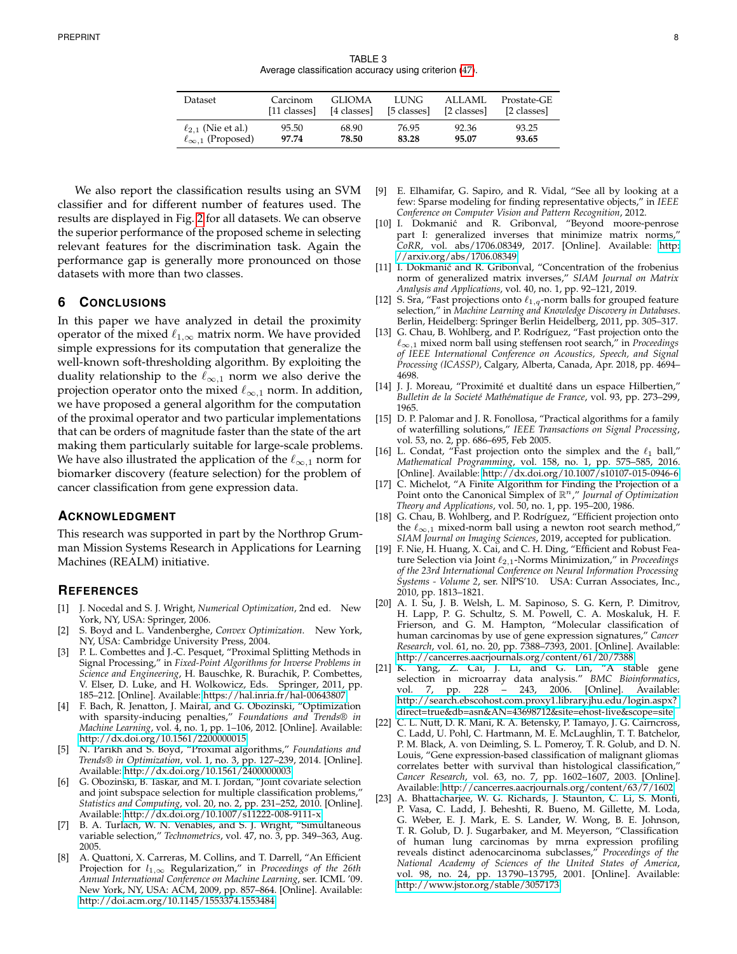TABLE 3 Average classification accuracy using criterion [\(47\)](#page-6-3).

<span id="page-7-23"></span>

| Dataset                      | Carcinom     | GLIOMA      | LUNG.       | ALLAML      | Prostate-GE |
|------------------------------|--------------|-------------|-------------|-------------|-------------|
|                              | [11 classes] | [4 classes] | [5 classes] | [2 classes] | [2 classes] |
| $\ell_{2.1}$ (Nie et al.)    | 95.50        | 68.90       | 76.95       | 92.36       | 93.25       |
| $\ell_{\infty,1}$ (Proposed) | 97.74        | 78.50       | 83.28       | 95.07       | 93.65       |

We also report the classification results using an SVM classifier and for different number of features used. The results are displayed in Fig. [2](#page-8-2) for all datasets. We can observe the superior performance of the proposed scheme in selecting relevant features for the discrimination task. Again the performance gap is generally more pronounced on those datasets with more than two classes.

# **6 CONCLUSIONS**

In this paper we have analyzed in detail the proximity operator of the mixed  $\ell_{1,\infty}$  matrix norm. We have provided simple expressions for its computation that generalize the well-known soft-thresholding algorithm. By exploiting the duality relationship to the  $\ell_{\infty,1}$  norm we also derive the projection operator onto the mixed  $\ell_{\infty,1}$  norm. In addition, we have proposed a general algorithm for the computation of the proximal operator and two particular implementations that can be orders of magnitude faster than the state of the art making them particularly suitable for large-scale problems. We have also illustrated the application of the  $\ell_{\infty,1}$  norm for biomarker discovery (feature selection) for the problem of cancer classification from gene expression data.

#### **ACKNOWLEDGMENT**

This research was supported in part by the Northrop Grumman Mission Systems Research in Applications for Learning Machines (REALM) initiative.

# **REFERENCES**

- <span id="page-7-0"></span>[1] J. Nocedal and S. J. Wright, *Numerical Optimization*, 2nd ed. New York, NY, USA: Springer, 2006.
- <span id="page-7-1"></span>[2] S. Boyd and L. Vandenberghe, *Convex Optimization*. New York, NY, USA: Cambridge University Press, 2004.
- <span id="page-7-2"></span>[3] P. L. Combettes and J.-C. Pesquet, "Proximal Splitting Methods in Signal Processing," in *Fixed-Point Algorithms for Inverse Problems in Science and Engineering*, H. Bauschke, R. Burachik, P. Combettes, V. Elser, D. Luke, and H. Wolkowicz, Eds. Springer, 2011, pp. 185–212. [Online]. Available:<https://hal.inria.fr/hal-00643807>
- <span id="page-7-3"></span>[4] F. Bach, R. Jenatton, J. Mairal, and G. Obozinski, "Optimization with sparsity-inducing penalties," *Foundations and Trends® in Machine Learning*, vol. 4, no. 1, pp. 1–106, 2012. [Online]. Available: <http://dx.doi.org/10.1561/2200000015>
- <span id="page-7-4"></span>[5] N. Parikh and S. Boyd, "Proximal algorithms," *Foundations and Trends® in Optimization*, vol. 1, no. 3, pp. 127–239, 2014. [Online]. Available:<http://dx.doi.org/10.1561/2400000003>
- <span id="page-7-5"></span>[6] G. Obozinski, B. Taskar, and M. I. Jordan, "Joint covariate selection and joint subspace selection for multiple classification problems," *Statistics and Computing*, vol. 20, no. 2, pp. 231–252, 2010. [Online]. Available:<http://dx.doi.org/10.1007/s11222-008-9111-x>
- <span id="page-7-6"></span>[7] B. A. Turlach, W. N. Venables, and S. J. Wright, "Simultaneous variable selection," *Technometrics*, vol. 47, no. 3, pp. 349–363, Aug. 2005.
- <span id="page-7-7"></span>A. Quattoni, X. Carreras, M. Collins, and T. Darrell, "An Efficient Projection for l1,<sup>∞</sup> Regularization," in *Proceedings of the 26th Annual International Conference on Machine Learning*, ser. ICML '09. New York, NY, USA: ACM, 2009, pp. 857–864. [Online]. Available: <http://doi.acm.org/10.1145/1553374.1553484>
- <span id="page-7-8"></span>[9] E. Elhamifar, G. Sapiro, and R. Vidal, "See all by looking at a few: Sparse modeling for finding representative objects," in *IEEE Conference on Computer Vision and Pattern Recognition*, 2012.
- <span id="page-7-9"></span>[10] I. Dokmanić and R. Gribonval, "Beyond moore-penrose part I: generalized inverses that minimize matrix norms, *CoRR*, vol. abs/1706.08349, 2017. [Online]. Available: [http:](http://arxiv.org/abs/1706.08349) [//arxiv.org/abs/1706.08349](http://arxiv.org/abs/1706.08349)
- <span id="page-7-10"></span>[11] I. Dokmanić and R. Gribonval, "Concentration of the frobenius norm of generalized matrix inverses," *SIAM Journal on Matrix Analysis and Applications*, vol. 40, no. 1, pp. 92–121, 2019.
- <span id="page-7-11"></span>[12] S. Sra, "Fast projections onto  $\ell_{1,q}$ -norm balls for grouped feature selection," in *Machine Learning and Knowledge Discovery in Databases*. Berlin, Heidelberg: Springer Berlin Heidelberg, 2011, pp. 305–317.
- <span id="page-7-12"></span>[13] G. Chau, B. Wohlberg, and P. Rodríguez, "Fast projection onto the `∞,<sup>1</sup> mixed norm ball using steffensen root search," in *Proceedings of IEEE International Conference on Acoustics, Speech, and Signal Processing (ICASSP)*, Calgary, Alberta, Canada, Apr. 2018, pp. 4694– 4698.
- <span id="page-7-13"></span>[14] J. J. Moreau, "Proximité et dualtité dans un espace Hilbertien," *Bulletin de la Societé Mathématique de France*, vol. 93, pp. 273–299, 1965.
- <span id="page-7-14"></span>[15] D. P. Palomar and J. R. Fonollosa, "Practical algorithms for a family of waterfilling solutions," *IEEE Transactions on Signal Processing*, vol. 53, no. 2, pp. 686–695, Feb 2005.
- <span id="page-7-15"></span>[16] L. Condat, "Fast projection onto the simplex and the  $\ell_1$  ball," *Mathematical Programming*, vol. 158, no. 1, pp. 575–585, 2016. [Online]. Available:<http://dx.doi.org/10.1007/s10107-015-0946-6>
- <span id="page-7-16"></span>[17] C. Michelot, "A Finite Algorithm for Finding the Projection of a Point onto the Canonical Simplex of  $\mathbb{R}^n$ ," *Journal of Optimization Theory and Applications*, vol. 50, no. 1, pp. 195–200, 1986.
- <span id="page-7-17"></span>[18] G. Chau, B. Wohlberg, and P. Rodríguez, "Efficient projection onto the  $\ell_{\infty,1}$  mixed-norm ball using a newton root search method, *SIAM Journal on Imaging Sciences*, 2019, accepted for publication.
- <span id="page-7-18"></span>[19] F. Nie, H. Huang, X. Cai, and C. H. Ding, "Efficient and Robust Feature Selection via Joint  $\ell_{2.1}$ -Norms Minimization," in *Proceedings of the 23rd International Conference on Neural Information Processing Systems - Volume 2*, ser. NIPS'10. USA: Curran Associates, Inc., 2010, pp. 1813–1821.
- <span id="page-7-19"></span>[20] A. I. Su, J. B. Welsh, L. M. Sapinoso, S. G. Kern, P. Dimitrov, H. Lapp, P. G. Schultz, S. M. Powell, C. A. Moskaluk, H. F. Frierson, and G. M. Hampton, "Molecular classification of human carcinomas by use of gene expression signatures," *Cancer Research*, vol. 61, no. 20, pp. 7388–7393, 2001. [Online]. Available: <http://cancerres.aacrjournals.org/content/61/20/7388>
- <span id="page-7-20"></span>[21] K. Yang, Z. Cai, J. Li, and G. Lin, "A stable gene selection in microarray data analysis." *BMC Bioinformatics*, vol. 7, pp. 228 – 243, 2006. [Online]. [http://search.ebscohost.com.proxy1.library.jhu.edu/login.aspx?](http://search.ebscohost.com.proxy1.library.jhu.edu/login.aspx?direct=true&db=asn&AN=43698712&site=ehost-live&scope=site) [direct=true&db=asn&AN=43698712&site=ehost-live&scope=site](http://search.ebscohost.com.proxy1.library.jhu.edu/login.aspx?direct=true&db=asn&AN=43698712&site=ehost-live&scope=site)
- <span id="page-7-21"></span>[22] C. L. Nutt, D. R. Mani, R. A. Betensky, P. Tamayo, J. G. Cairncross, C. Ladd, U. Pohl, C. Hartmann, M. E. McLaughlin, T. T. Batchelor, P. M. Black, A. von Deimling, S. L. Pomeroy, T. R. Golub, and D. N. Louis, "Gene expression-based classification of malignant gliomas correlates better with survival than histological classification," *Cancer Research*, vol. 63, no. 7, pp. 1602–1607, 2003. [Online]. Available:<http://cancerres.aacrjournals.org/content/63/7/1602>
- <span id="page-7-22"></span>[23] A. Bhattacharjee, W. G. Richards, J. Staunton, C. Li, S. Monti, P. Vasa, C. Ladd, J. Beheshti, R. Bueno, M. Gillette, M. Loda, G. Weber, E. J. Mark, E. S. Lander, W. Wong, B. E. Johnson, T. R. Golub, D. J. Sugarbaker, and M. Meyerson, "Classification of human lung carcinomas by mrna expression profiling reveals distinct adenocarcinoma subclasses," *Proceedings of the National Academy of Sciences of the United States of America*, vol. 98, no. 24, pp. 13 790–13 795, 2001. [Online]. Available: <http://www.jstor.org/stable/3057173>